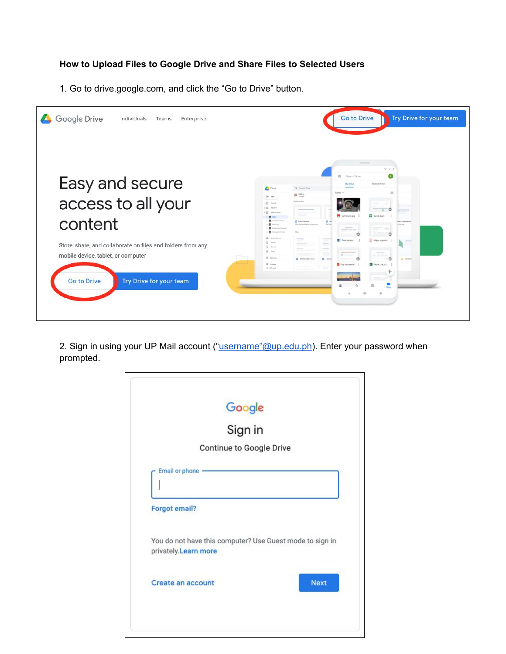## **How to Upload Files to Google Drive and Share Files to Selected Users**

1. Go to drive.google.com, and click the "Go to Drive" button.



2. Sign in using your UP Mail account (["username"@up.edu.ph\)](mailto:username@up.edu.ph). Enter your password when prompted.

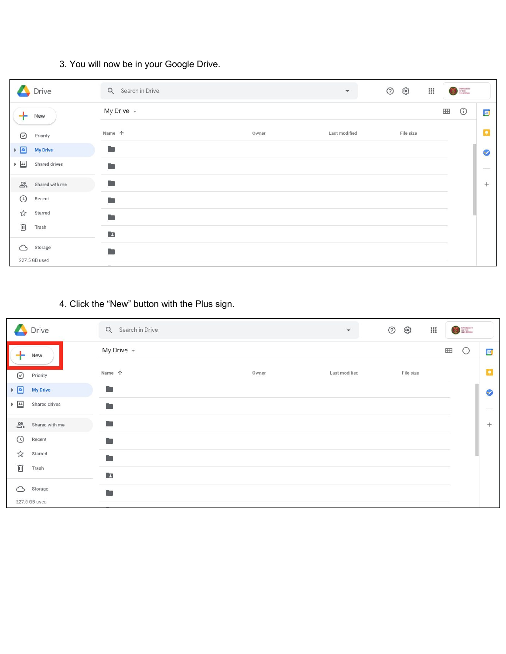## 3. You will now be in your Google Drive.

|                                            | Drive                           | Q Search in Drive  |       | $\mathbf{v}$  | $\odot$<br>ఴ<br>$\mathbf{}$ |   | <b>SERVISEREY</b><br>PHILAPPORE |        |
|--------------------------------------------|---------------------------------|--------------------|-------|---------------|-----------------------------|---|---------------------------------|--------|
| ÷                                          | New                             | My Drive $\sim$    |       |               |                             | H | $\odot$                         | 回      |
| $\odot$                                    | Priority                        | Name 个             | Owner | Last modified | File size                   |   |                                 | o      |
| $\frac{1}{2}$                              | <b>My Drive</b>                 | <b>Prop</b>        |       |               |                             |   |                                 | Ø      |
| $\blacktriangleright$ $\boxed{\triangleq}$ | Shared drives                   | <b>B</b>           |       |               |                             |   |                                 |        |
|                                            | $\sum_{k=1}^{n}$ Shared with me | Œ                  |       |               |                             |   |                                 | $^{+}$ |
| $\odot$                                    | Recent                          | <b>Controlling</b> |       |               |                             |   |                                 |        |
| ☆                                          | Starred                         | <b>The Co</b>      |       |               |                             |   |                                 |        |
| 画                                          | Trash                           | E                  |       |               |                             |   |                                 |        |
| ⌒                                          | Storage                         | n                  |       |               |                             |   |                                 |        |
|                                            | 227.5 GB used                   |                    |       |               |                             |   |                                 |        |

## 4. Click the "New" button with the Plus sign.

|                                                                                                  | Drive           | Q Search in Drive |       | $\circledcirc$<br>$\overline{\mathbf{v}}$ | ఴ<br>$\frac{1}{1000}$ |           | $\begin{array}{c}\n\bullet \\ \bullet \\ \bullet \\ \bullet \\ \bullet\n\end{array}$ |              |
|--------------------------------------------------------------------------------------------------|-----------------|-------------------|-------|-------------------------------------------|-----------------------|-----------|--------------------------------------------------------------------------------------|--------------|
|                                                                                                  | New             | My Drive $\sim$   |       |                                           |                       | <b>HH</b> | $\odot$                                                                              | $\boxed{51}$ |
| $\odot$                                                                                          | Priority        | Name 个            | Owner | Last modified                             | File size             |           |                                                                                      | $\mathbf{Q}$ |
| $\overline{\bullet}$                                                                             | <b>My Drive</b> | <b>Barnett</b>    |       |                                           |                       |           |                                                                                      | Ø            |
| $\blacktriangleright$ $\frac{\color{red}\mathsf{L}\mathsf{L}}{\color{blue}\mathsf{L}\mathsf{L}}$ | Shared drives   | a.                |       |                                           |                       |           |                                                                                      |              |
| $\sum_{i=1}^{n}$                                                                                 | Shared with me  | Œ                 |       |                                           |                       |           |                                                                                      | $^{+}$       |
| $\odot$                                                                                          | Recent          | <b>B</b>          |       |                                           |                       |           |                                                                                      |              |
| ☆                                                                                                | Starred         | <b>Part</b>       |       |                                           |                       |           |                                                                                      |              |
| 回                                                                                                | Trash           | $\Box$            |       |                                           |                       |           |                                                                                      |              |
| ⌒                                                                                                | Storage         | a.                |       |                                           |                       |           |                                                                                      |              |
|                                                                                                  | 227.5 GB used   |                   |       |                                           |                       |           |                                                                                      |              |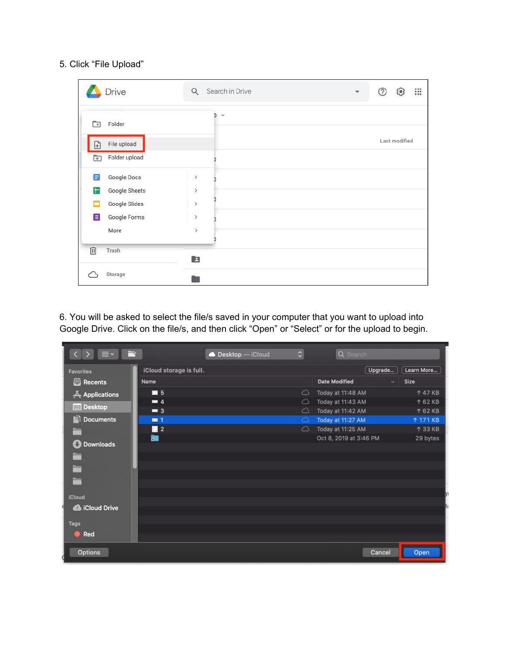## 5. Click "File Upload"

| Drive                                      | Q                        | Search in Drive | ▼ | $\mathbf{}$<br>⊚<br>ස |
|--------------------------------------------|--------------------------|-----------------|---|-----------------------|
| Folder<br>ন<br>File upload<br>$\mathbb{E}$ | ē,<br>$\mathbf{v}$       |                 |   | Last modified         |
| Folder upload<br>$\boxed{+}$               |                          |                 |   |                       |
| F<br>Google Docs                           | $\overline{\phantom{a}}$ |                 |   |                       |
| ŧ<br>Google Sheets                         | $\overline{\phantom{a}}$ |                 |   |                       |
| Google Slides<br>с                         | $\overline{ }$           |                 |   |                       |
| $\equiv$<br>Google Forms                   | $\overline{ }$           |                 |   |                       |
| More                                       | $\overline{ }$           |                 |   |                       |
| 回<br>Trash                                 | E                        |                 |   |                       |
| Storage                                    |                          |                 |   |                       |

6. You will be asked to select the file/s saved in your computer that you want to upload into Google Drive. Click on the file/s, and then click "Open" or "Select" or for the upload to begin.

| ≡∽                         | Desktop - iCloud        | $\hat{\cdot}$       | Q Search                             |               |
|----------------------------|-------------------------|---------------------|--------------------------------------|---------------|
| <b>Favorites</b>           | iCloud storage is full. |                     | Upgrade                              | Learn More    |
| Recents                    | Name                    |                     | <b>Date Modified</b><br>$\checkmark$ | Size          |
| $\frac{X}{Y}$ Applications | $\blacksquare$ 5        | △                   | Today at 11:48 AM                    | <b>147 KB</b> |
| <b>Desktop</b>             | $= 4$                   | △                   | Today at 11:43 AM                    | <b>162 KB</b> |
|                            | $\equiv$ 3              | △                   | Today at 11:42 AM                    | <b>162 KB</b> |
| Documents                  | $= 1$                   | $\circlearrowright$ | Today at 11:27 AM                    | <b>171 KB</b> |
| -                          | $\blacksquare$ 2        | △                   | Today at 11:25 AM                    | <b>133 KB</b> |
| <b>O</b> Downloads         | 疆                       |                     | Oct 8, 2019 at 3:46 PM               | 29 bytes      |
|                            |                         |                     |                                      |               |
| ▅                          |                         |                     |                                      |               |
| E                          |                         |                     |                                      |               |
| E                          |                         |                     |                                      |               |
|                            |                         |                     |                                      |               |
| iCloud                     |                         |                     |                                      |               |
| <b>S</b> iCloud Drive      |                         |                     |                                      |               |
|                            |                         |                     |                                      |               |
| Tags                       |                         |                     |                                      |               |
| Red                        |                         |                     |                                      |               |
|                            |                         |                     |                                      |               |
| Options                    |                         |                     | Cancel                               | Open          |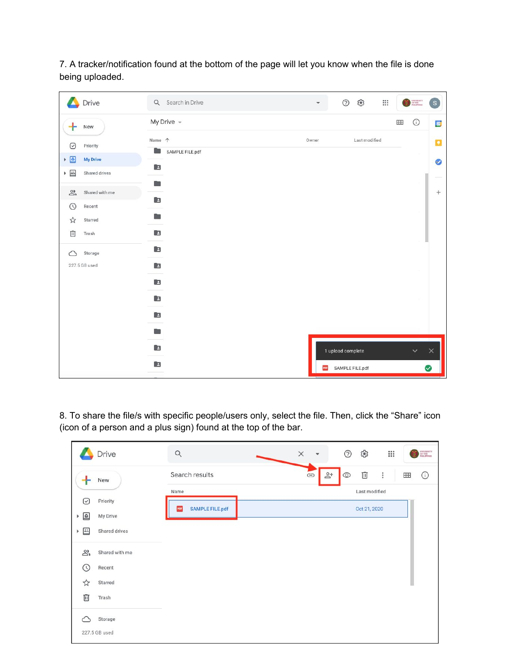7. A tracker/notification found at the bottom of the page will let you know when the file is done being uploaded.

|                                                                                   | Drive           | Q Search in Drive    | ▼     | ఴ<br>$\circledcirc$ | $\mathbb{S}^*$ | $\begin{picture}(20,20) \put(0,0){\vector(0,1){30}} \put(15,0){\vector(0,1){30}} \put(15,0){\vector(0,1){30}} \put(15,0){\vector(0,1){30}} \put(15,0){\vector(0,1){30}} \put(15,0){\vector(0,1){30}} \put(15,0){\vector(0,1){30}} \put(15,0){\vector(0,1){30}} \put(15,0){\vector(0,1){30}} \put(15,0){\vector(0,1){30}} \put(15,0){\vector(0,1){30}} \put(15,0){\vector(0$ | $\boxed{\text{s}}$ |
|-----------------------------------------------------------------------------------|-----------------|----------------------|-------|---------------------|----------------|-----------------------------------------------------------------------------------------------------------------------------------------------------------------------------------------------------------------------------------------------------------------------------------------------------------------------------------------------------------------------------|--------------------|
| $+$                                                                               | New             | My Drive $\sim$      |       |                     | Œ              | $\odot$                                                                                                                                                                                                                                                                                                                                                                     | $\boxed{31}$       |
| $\odot$                                                                           | Priority        | Name 个               | Owner | Last modified       |                |                                                                                                                                                                                                                                                                                                                                                                             | O                  |
| $\bullet$<br>Þ.                                                                   | <b>My Drive</b> | SAMPLE FILE.pdf<br>m |       |                     |                |                                                                                                                                                                                                                                                                                                                                                                             | $\bullet$          |
| $\blacktriangleright$ $\frac{\blacktriangle\mathbb{L}}{\blacktriangle\mathbb{L}}$ | Shared drives   | $\Box$<br>m          |       |                     |                |                                                                                                                                                                                                                                                                                                                                                                             |                    |
| $\overline{\mathbb{S}}$                                                           | Shared with me  |                      |       |                     |                |                                                                                                                                                                                                                                                                                                                                                                             | $^{+}$             |
| $\odot$                                                                           | Recent          | E                    |       |                     |                |                                                                                                                                                                                                                                                                                                                                                                             |                    |
| ☆                                                                                 | Starred         | n                    |       |                     |                |                                                                                                                                                                                                                                                                                                                                                                             |                    |
| 回                                                                                 | Trash           | E                    |       |                     |                |                                                                                                                                                                                                                                                                                                                                                                             |                    |
| △                                                                                 | Storage         | E                    |       |                     |                |                                                                                                                                                                                                                                                                                                                                                                             |                    |
|                                                                                   | 227.5 GB used   | E                    |       |                     |                |                                                                                                                                                                                                                                                                                                                                                                             |                    |
|                                                                                   |                 | E                    |       |                     |                |                                                                                                                                                                                                                                                                                                                                                                             |                    |
|                                                                                   |                 | E                    |       |                     |                |                                                                                                                                                                                                                                                                                                                                                                             |                    |
|                                                                                   |                 | E                    |       |                     |                |                                                                                                                                                                                                                                                                                                                                                                             |                    |
|                                                                                   |                 | m                    |       |                     |                |                                                                                                                                                                                                                                                                                                                                                                             |                    |
|                                                                                   |                 | $\Box$               |       | 1 upload complete   |                | $\checkmark$                                                                                                                                                                                                                                                                                                                                                                | $\times$           |
|                                                                                   |                 | $\Box$               | PDF   | SAMPLE FILE.pdf     |                |                                                                                                                                                                                                                                                                                                                                                                             | ◙                  |

8. To share the file/s with specific people/users only, select the file. Then, click the "Share" icon (icon of a person and a plus sign) found at the top of the bar.

|                         | Drive          | $\alpha$                      | $\times$<br>$\overline{\phantom{a}}$ | త్రి<br>$^{\circledR}$ | $\frac{1}{100}$                                                                           | UNIVERSITY<br>OF THE<br>FHILIPPINES |
|-------------------------|----------------|-------------------------------|--------------------------------------|------------------------|-------------------------------------------------------------------------------------------|-------------------------------------|
| ÷                       | New            | Search results                | $\mathbb{S}^+$<br>G                  | Ū<br>$\circledcirc$    | $\begin{array}{c} \bullet & \bullet & \bullet \\ \bullet & \bullet & \bullet \end{array}$ | $\odot$<br>田                        |
| ☑                       | Priority       | Name                          |                                      |                        | Last modified                                                                             |                                     |
| $\triangleright$ $\Box$ | My Drive       | <b>SAMPLE FILE.pdf</b><br>PDF |                                      | Oct 21, 2020           |                                                                                           |                                     |
|                         | Shared drives  |                               |                                      |                        |                                                                                           |                                     |
| వి                      | Shared with me |                               |                                      |                        |                                                                                           |                                     |
| ↷                       | Recent         |                               |                                      |                        |                                                                                           |                                     |
| ☆                       | Starred        |                               |                                      |                        |                                                                                           |                                     |
| Ū                       | Trash          |                               |                                      |                        |                                                                                           |                                     |
|                         | Storage        |                               |                                      |                        |                                                                                           |                                     |
|                         | 227.5 GB used  |                               |                                      |                        |                                                                                           |                                     |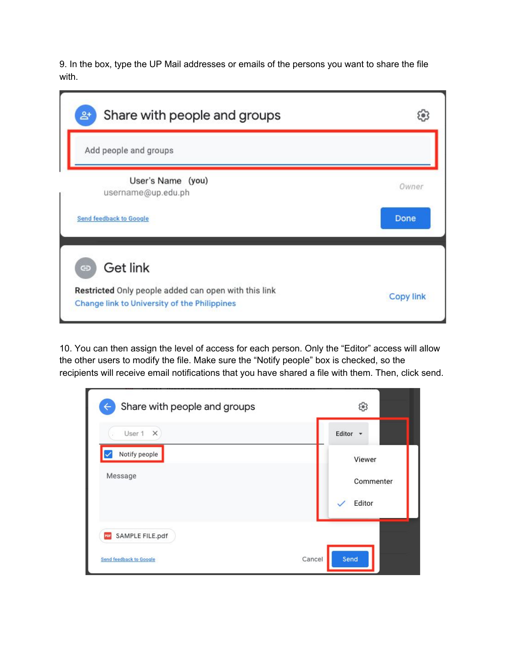9. In the box, type the UP Mail addresses or emails of the persons you want to share the file with.

| Share with people and groups<br>$\mathbf{2}^*$                                                       |                  |
|------------------------------------------------------------------------------------------------------|------------------|
| Add people and groups                                                                                |                  |
| User's Name (you)<br>username@up.edu.ph                                                              | Owner            |
| <b>Send feedback to Google</b>                                                                       | Done             |
| Get link<br>$\ominus$                                                                                |                  |
| Restricted Only people added can open with this link<br>Change link to University of the Philippines | <b>Copy link</b> |

10. You can then assign the level of access for each person. Only the "Editor" access will allow the other users to modify the file. Make sure the "Notify people" box is checked, so the recipients will receive email notifications that you have shared a file with them. Then, click send.

| Share with people and groups<br>← | తి                            |
|-----------------------------------|-------------------------------|
| User 1<br>$\times$                | Editor -                      |
| Notify people<br>Message          | Viewer<br>Commenter<br>Editor |
| SAMPLE FILE.pdf<br>PDF            |                               |
| <b>Send feedback to Google</b>    | Send<br>Cancel                |